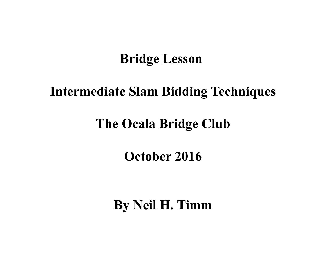# **Bridge Lesson**

# **Intermediate Slam Bidding Techniques**

# **The Ocala Bridge Club**

# **October 2016**

**By Neil H. Timm**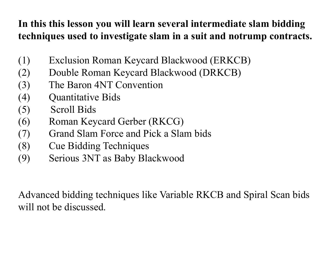## **In this this lesson you will learn several intermediate slam bidding techniques used to investigate slam in a suit and notrump contracts.**

- (1) Exclusion Roman Keycard Blackwood (ERKCB)
- (2) Double Roman Keycard Blackwood (DRKCB)
- (3) The Baron 4NT Convention
- (4) Quantitative Bids
- (5) Scroll Bids
- (6) Roman Keycard Gerber (RKCG)
- (7) Grand Slam Force and Pick a Slam bids
- (8) Cue Bidding Techniques
- (9) Serious 3NT as Baby Blackwood

Advanced bidding techniques like Variable RKCB and Spiral Scan bids will not be discussed.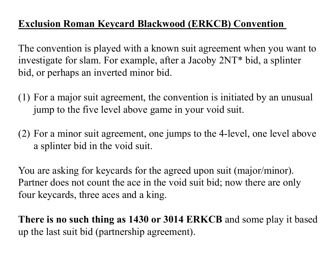## **Exclusion Roman Keycard Blackwood (ERKCB) Convention**

The convention is played with a known suit agreement when you want to investigate for slam. For example, after a Jacoby 2NT\* bid, a splinter bid, or perhaps an inverted minor bid.

- (1) For a major suit agreement, the convention is initiated by an unusual jump to the five level above game in your void suit.
- (2) For a minor suit agreement, one jumps to the 4-level, one level above a splinter bid in the void suit.

You are asking for keycards for the agreed upon suit (major/minor). Partner does not count the ace in the void suit bid; now there are only four keycards, three aces and a king.

**There is no such thing as 1430 or 3014 ERKCB** and some play it based up the last suit bid (partnership agreement).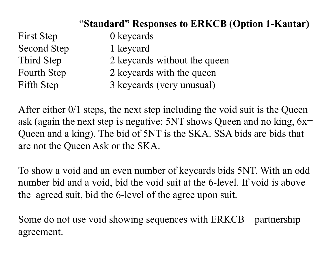## "**Standard" Responses to ERKCB (Option 1-Kantar)**

First Step 0 keycards Second Step 1 keycard

- Third Step 2 keycards without the queen
- Fourth Step 2 keycards with the queen
- Fifth Step 3 keycards (very unusual)

After either  $0/1$  steps, the next step including the void suit is the Queen ask (again the next step is negative:  $5NT$  shows Queen and no king,  $6x=$ Queen and a king). The bid of 5NT is the SKA. SSA bids are bids that are not the Queen Ask or the SKA.

To show a void and an even number of keycards bids 5NT. With an odd number bid and a void, bid the void suit at the 6-level. If void is above the agreed suit, bid the 6-level of the agree upon suit.

Some do not use void showing sequences with ERKCB – partnership agreement.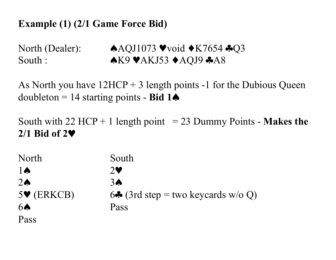### **Example (1) (2/1 Game Force Bid)**

North (Dealer):  $\triangle AQJ1073$   $\triangledown$ void  $\triangle K7654$   $\triangle Q3$ South :  $\triangle$ K9  $\triangle$ K9  $\triangle$ AKJ53  $\triangle$ AQJ9  $\triangle$ A8

As North you have  $12HCP + 3$  length points -1 for the Dubious Queen doubleton = 14 starting points - **Bid 1**♠

South with  $22$  HCP + 1 length point  $= 23$  Dummy Points - **Makes the 2/1 Bid of 2**♥

North South 1♠ 2♥ 2♠ 3♠ 5 $\blacktriangleright$  (ERKCB) 6 $\clubsuit$  (3rd step = two keycards w/o Q) 6♠ Pass Pass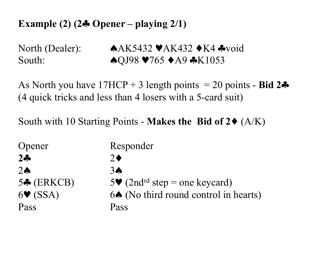## **Example (2) (2**♣ **Opener – playing 2/1)**

North (Dealer): ♦AK5432 ♦AK432 ♦K4 \*void South: ♦QJ98 ♥765 ♦A9 ♣K1053

As North you have  $17HCP + 3$  length points = 20 points - **Bid 2** $\clubsuit$ (4 quick tricks and less than 4 losers with a 5-card suit)

South with 10 Starting Points - **Makes the Bid of 2**♦ (A/K)

| Opener                      | Responder                                                      |
|-----------------------------|----------------------------------------------------------------|
| $2 - 5$                     | $2 \blacklozenge$                                              |
| $2 \spadesuit$              | 3 <sub>o</sub>                                                 |
| $5\clubsuit$ (ERKCB)        | 5 $\blacktriangleright$ (2nd <sup>rd</sup> step = one keycard) |
| $6\blacktriangledown$ (SSA) | 6. (No third round control in hearts)                          |
| Pass                        | Pass                                                           |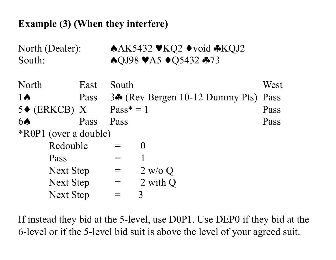### **Example (3) (When they interfere)**

| North (Dealer):<br>South:    |      | ◆AK5432 ♥KQ2 ◆void ◆KQJ2<br>$\bigwedge$ QJ98 VA5 $\bigwedge$ Q5432 $\bigwedge$ 73 |                                            |      |  |
|------------------------------|------|-----------------------------------------------------------------------------------|--------------------------------------------|------|--|
| North                        | East | South                                                                             |                                            | West |  |
| $1\spadesuit$                | Pass |                                                                                   | 3 $\clubsuit$ (Rev Bergen 10-12 Dummy Pts) | Pass |  |
| $5\blacklozenge$ (ERKCB) X   |      | $Pass^* = 1$                                                                      |                                            | Pass |  |
| 6 <b>A</b>                   | Pass | Pass                                                                              |                                            | Pass |  |
| <i>*ROP1</i> (over a double) |      |                                                                                   |                                            |      |  |
| Redouble                     |      | $=$                                                                               | $\left( \right)$                           |      |  |
| Pass                         |      | $=$                                                                               |                                            |      |  |
| <b>Next Step</b>             |      | $=$                                                                               | 2 w/o Q                                    |      |  |
| <b>Next Step</b>             |      | $\!\!\!=\!\!\!$                                                                   | 2 with Q                                   |      |  |
| <b>Next Step</b>             |      |                                                                                   | 3                                          |      |  |

If instead they bid at the 5-level, use D0P1. Use DEP0 if they bid at the 6-level or if the 5-level bid suit is above the level of your agreed suit.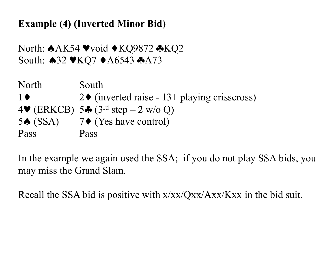**Example (4) (Inverted Minor Bid)** 

North: ♠AK54 ♥void ♦KQ9872 ♣KQ2 South: ♦32 ♥KQ7 ♦A6543 ♣A73

North South 1  $\blacklozenge$  2  $\blacklozenge$  (inverted raise - 13+ playing crisscross) 4 $\blacktriangledown$  (ERKCB) 5 $\clubsuit$  (3<sup>rd</sup> step – 2 w/o Q) 5♠ (SSA) 7♦ (Yes have control) Pass Pass

In the example we again used the SSA; if you do not play SSA bids, you may miss the Grand Slam.

Recall the SSA bid is positive with x/xx/Qxx/Axx/Kxx in the bid suit.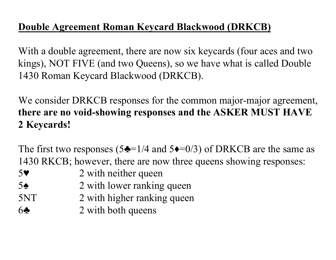## **Double Agreement Roman Keycard Blackwood (DRKCB)**

With a double agreement, there are now six keycards (four aces and two kings), NOT FIVE (and two Queens), so we have what is called Double 1430 Roman Keycard Blackwood (DRKCB).

We consider DRKCB responses for the common major-major agreement, **there are no void-showing responses and the ASKER MUST HAVE 2 Keycards!**

The first two responses (5 $\triangle = 1/4$  and 5 $\triangle = 0/3$ ) of DRKCB are the same as 1430 RKCB; however, there are now three queens showing responses:

- 5♥ 2 with neither queen
- 5<sup>♦</sup> 2 with lower ranking queen
- 5NT 2 with higher ranking queen
- 6♣ 2 with both queens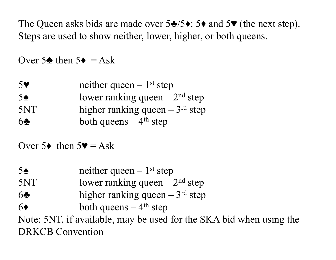The Queen asks bids are made over  $5\clubsuit/5\bullet$ :  $5\bullet$  and  $5\blacktriangledown$  (the next step). Steps are used to show neither, lower, higher, or both queens.

Over 5 $\triangle$  then 5 $\triangle$  = Ask

| 5 <sup>9</sup> | neither queen $-1$ <sup>st</sup> step |
|----------------|---------------------------------------|
| $5\spadesuit$  | lower ranking queen $-2nd$ step       |
| 5NT            | higher ranking queen $-3rd$ step      |
| 6 <sub>2</sub> | both queens $-4$ <sup>th</sup> step   |

Over  $5\bullet$  then  $5\bullet = Ask$ 

5 $\triangle$  neither queen – 1<sup>st</sup> step  $5NT$  lower ranking queen  $-2<sup>nd</sup>$  step 6<sup>♦</sup> higher ranking queen – 3<sup>rd</sup> step  $6\bullet$  both queens – 4<sup>th</sup> step Note: 5NT, if available, may be used for the SKA bid when using the DRKCB Convention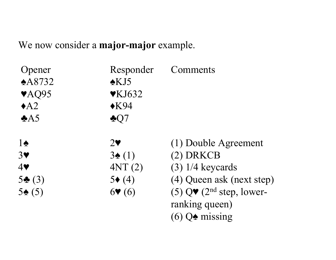We now consider a **major-major** example.

| Opener                    | Responder                           | Comments                                                |
|---------------------------|-------------------------------------|---------------------------------------------------------|
| $\triangle$ A8732         | $\triangle$ KJ5                     |                                                         |
| $\blacktriangledown$ AQ95 | $\mathbf{\blacktriangledown}$ KJ632 |                                                         |
| $\triangle$ A2            | $\triangle$ K94                     |                                                         |
| A5                        | $\clubsuit Q7$                      |                                                         |
| $1\spadesuit$             | $2\blacktriangledown$               | (1) Double Agreement                                    |
| 3 <sub>Y</sub>            | $3\spadesuit(1)$                    | $(2)$ DRKCB                                             |
| 4                         | 4NT(2)                              | $(3)$ 1/4 keycards                                      |
| $5\bullet(3)$             | $5\bullet(4)$                       | (4) Queen ask (next step)                               |
| $5\spadesuit(5)$          | $6$ <b>v</b> (6)                    | (5) $Q\blacktriangledown$ (2 <sup>nd</sup> step, lower- |
|                           |                                     | ranking queen)                                          |
|                           |                                     | $(6)$ Q $\triangle$ missing                             |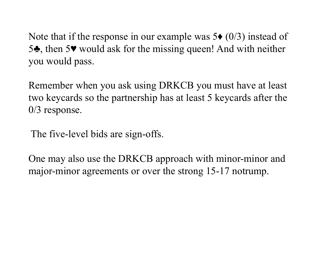Note that if the response in our example was  $5\bullet (0/3)$  instead of 5♣, then 5♥ would ask for the missing queen! And with neither you would pass.

Remember when you ask using DRKCB you must have at least two keycards so the partnership has at least 5 keycards after the 0/3 response.

The five-level bids are sign-offs.

One may also use the DRKCB approach with minor-minor and major-minor agreements or over the strong 15-17 notrump.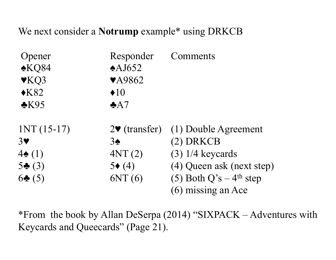We next consider a **Notrump** example\* using DRKCB

| Opener                   | Responder                        | Comments                  |
|--------------------------|----------------------------------|---------------------------|
| $\triangle KQ84$         | $\triangle$ AJ652                |                           |
| $\blacktriangledown$ KQ3 | <b>VA9862</b>                    |                           |
| $\triangle$ K82          | $\triangleleft 10$               |                           |
| $\triangle$ K95          | A7                               |                           |
| $INT (15-17)$            | $2\blacktriangledown$ (transfer) | (1) Double Agreement      |
| $3\blacktriangledown$    | $3\spadesuit$                    | $(2)$ DRKCB               |
| $4\spadesuit(1)$         | 4NT(2)                           | $(3)$ 1/4 keycards        |
| $5\clubsuit(3)$          | $5\bullet(4)$                    | (4) Queen ask (next step) |
| $6\bullet(5)$            | 6NT(6)                           | (5) Both $Q's - 4th$ step |
|                          |                                  | (6) missing an Ace        |

\*From the book by Allan DeSerpa (2014) "SIXPACK – Adventures with Keycards and Queecards" (Page 21).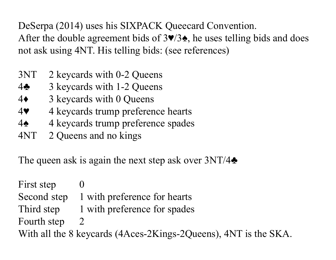DeSerpa (2014) uses his SIXPACK Queecard Convention. After the double agreement bids of  $3\vee/3\spadesuit$ , he uses telling bids and does not ask using 4NT. His telling bids: (see references)

- 3NT 2 keycards with 0-2 Queens
- 4♣ 3 keycards with 1-2 Queens
- 4♦ 3 keycards with 0 Queens
- 4♥ 4 keycards trump preference hearts
- 4♠ 4 keycards trump preference spades
- 4NT 2 Queens and no kings

The queen ask is again the next step ask over  $3NT/4\clubsuit$ 

First step 0 Second step 1 with preference for hearts Third step 1 with preference for spades Fourth step 2 With all the 8 keycards (4Aces-2Kings-2Queens), 4NT is the SKA.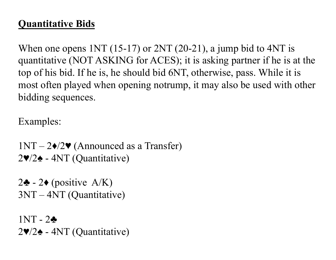## **Quantitative Bids**

When one opens  $1NT (15-17)$  or  $2NT (20-21)$ , a jump bid to  $4NT$  is quantitative (NOT ASKING for ACES); it is asking partner if he is at the top of his bid. If he is, he should bid 6NT, otherwise, pass. While it is most often played when opening notrump, it may also be used with other bidding sequences.

Examples:

 $1NT - 2\cdot/2\cdot$  (Announced as a Transfer) 2♥/2♠ - 4NT (Quantitative)

2♣ - 2♦ (positive  $A/K$ ) 3NT – 4NT (Quantitative)

1NT - 2♣ 2♥/2♠ - 4NT (Quantitative)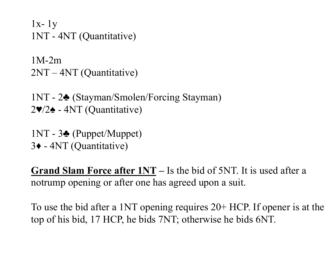$1x-1y$ 1NT - 4NT (Quantitative)

1M-2m 2NT – 4NT (Quantitative)

1NT - 2♣ (Stayman/Smolen/Forcing Stayman) 2♥/2♠ - 4NT (Quantitative)

1NT - 3♣ (Puppet/Muppet) 3♦ - 4NT (Quantitative)

**Grand Slam Force after 1NT –** Is the bid of 5NT. It is used after a notrump opening or after one has agreed upon a suit.

To use the bid after a 1NT opening requires 20+ HCP. If opener is at the top of his bid, 17 HCP, he bids 7NT; otherwise he bids 6NT.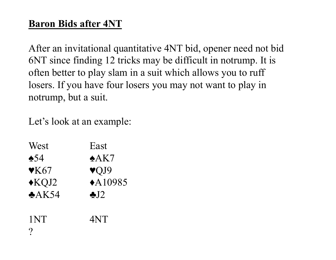## **Baron Bids after 4NT**

After an invitational quantitative 4NT bid, opener need not bid 6NT since finding 12 tricks may be difficult in notrump. It is often better to play slam in a suit which allows you to ruff losers. If you have four losers you may not want to play in notrump, but a suit.

Let's look at an example:

| West                         | East                    |
|------------------------------|-------------------------|
| $\triangle$ 54               | $\triangle$ AK7         |
| $\mathbf{\triangledown}$ K67 | $\blacktriangledown$ J9 |
| $\triangle$ KQJ2             | $\triangle$ A10985      |
| A K54                        | $\clubsuit$ . $12$      |
|                              |                         |
| 1NT                          | 4NT                     |
|                              |                         |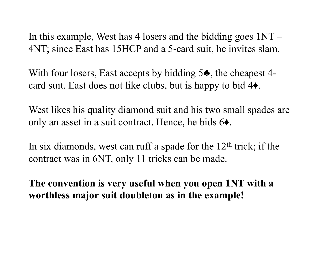In this example, West has 4 losers and the bidding goes  $1NT -$ 4NT; since East has 15HCP and a 5-card suit, he invites slam.

With four losers, East accepts by bidding 5<sup> $\clubsuit$ </sup>, the cheapest 4card suit. East does not like clubs, but is happy to bid 4♦.

West likes his quality diamond suit and his two small spades are only an asset in a suit contract. Hence, he bids 6♦.

In six diamonds, west can ruff a spade for the  $12<sup>th</sup>$  trick; if the contract was in 6NT, only 11 tricks can be made.

**The convention is very useful when you open 1NT with a worthless major suit doubleton as in the example!**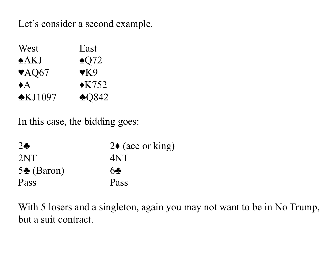Let's consider a second example.

| West                      | East               |
|---------------------------|--------------------|
| A KJ                      | $\triangle$ Q72    |
| $\blacktriangledown$ AQ67 | $\mathbf{V}$ K $9$ |
| $\blacklozenge$ A         | $\triangle$ K752   |
| $\bigstar$ KJ1097         | $\triangle$ Q842   |

In this case, the bidding goes:

| $2\bullet$           | $2\bullet$ (ace or king) |
|----------------------|--------------------------|
| 2NT                  | 4NT                      |
| $5\clubsuit$ (Baron) | 6                        |
| Pass                 | Pass                     |

With 5 losers and a singleton, again you may not want to be in No Trump, but a suit contract.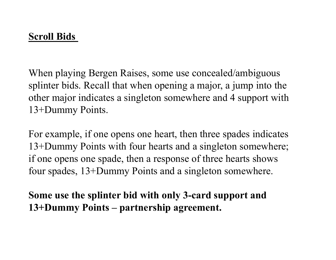When playing Bergen Raises, some use concealed/ambiguous splinter bids. Recall that when opening a major, a jump into the other major indicates a singleton somewhere and 4 support with 13+Dummy Points.

For example, if one opens one heart, then three spades indicates 13+Dummy Points with four hearts and a singleton somewhere; if one opens one spade, then a response of three hearts shows four spades, 13+Dummy Points and a singleton somewhere.

**Some use the splinter bid with only 3-card support and 13+Dummy Points – partnership agreement.**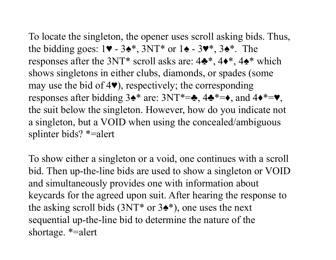To locate the singleton, the opener uses scroll asking bids. Thus, the bidding goes:  $1\blacktriangledown - 3\blacktriangle^*$ ,  $3NT^*$  or  $1\blacktriangle - 3\blacktriangledown^*$ ,  $3\blacktriangle^*$ . The responses after the 3NT\* scroll asks are:  $4\clubsuit^*$ ,  $4\spadesuit^*$ ,  $4\spadesuit^*$  which shows singletons in either clubs, diamonds, or spades (some may use the bid of  $4\blacktriangledown$ , respectively; the corresponding responses after bidding  $3\cdot^*$  are:  $3NT^*=\cdot$ ,  $4\cdot^*=\cdot$ , and  $4\cdot^*=\cdot$ , the suit below the singleton. However, how do you indicate not a singleton, but a VOID when using the concealed/ambiguous splinter bids? \*=alert

To show either a singleton or a void, one continues with a scroll bid. Then up-the-line bids are used to show a singleton or VOID and simultaneously provides one with information about keycards for the agreed upon suit. After hearing the response to the asking scroll bids  $(3NT^*$  or  $3\spadesuit^*)$ , one uses the next sequential up-the-line bid to determine the nature of the shortage. \*=alert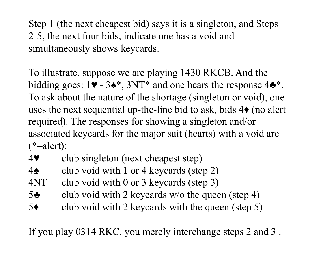Step 1 (the next cheapest bid) says it is a singleton, and Steps 2-5, the next four bids, indicate one has a void and simultaneously shows keycards.

To illustrate, suppose we are playing 1430 RKCB. And the bidding goes:  $1\blacktriangledown - 3\blacktriangle^*$ ,  $3NT^*$  and one hears the response  $4\blacktriangle^*$ . To ask about the nature of the shortage (singleton or void), one uses the next sequential up-the-line bid to ask, bids  $4\bullet$  (no alert required). The responses for showing a singleton and/or associated keycards for the major suit (hearts) with a void are  $(*=$ alert):

- 4♥ club singleton (next cheapest step)
- 4♠ club void with 1 or 4 keycards (step 2)
- 4NT club void with 0 or 3 keycards (step 3)
- 5♣ club void with 2 keycards w/o the queen (step 4)
- 5♦ club void with 2 keycards with the queen (step 5)

If you play 0314 RKC, you merely interchange steps 2 and 3 .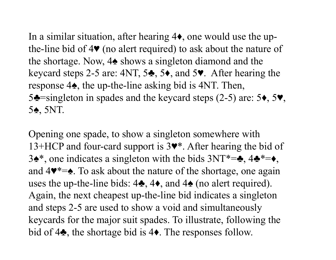In a similar situation, after hearing 4♦, one would use the upthe-line bid of 4♥ (no alert required) to ask about the nature of the shortage. Now, 4♠ shows a singleton diamond and the keycard steps 2-5 are: 4NT, 5♣, 5♦, and 5♥. After hearing the response 4♠, the up-the-line asking bid is 4NT. Then, 5♣=singleton in spades and the keycard steps (2-5) are: 5♦, 5♥, 5♠, 5NT.

Opening one spade, to show a singleton somewhere with 13+HCP and four-card support is 3♥\*. After hearing the bid of 3♠\*, one indicates a singleton with the bids 3NT\*=♣, 4♣\*=♦, and 4♥\*=♠. To ask about the nature of the shortage, one again uses the up-the-line bids:  $4\clubsuit$ ,  $4\spadesuit$ , and  $4\spadesuit$  (no alert required). Again, the next cheapest up-the-line bid indicates a singleton and steps 2-5 are used to show a void and simultaneously keycards for the major suit spades. To illustrate, following the bid of 4♣, the shortage bid is 4♦. The responses follow.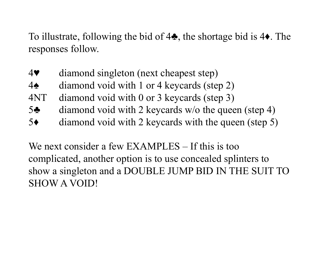To illustrate, following the bid of 4♣, the shortage bid is 4♦. The responses follow.

- 4♥ diamond singleton (next cheapest step)
- 4♠ diamond void with 1 or 4 keycards (step 2)
- 4NT diamond void with 0 or 3 keycards (step 3)
- 5♣ diamond void with 2 keycards w/o the queen (step 4)
- 5♦ diamond void with 2 keycards with the queen (step 5)

We next consider a few EXAMPLES – If this is too complicated, another option is to use concealed splinters to show a singleton and a DOUBLE JUMP BID IN THE SUIT TO SHOW A VOID!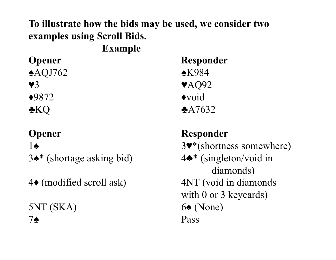## **To illustrate how the bids may be used, we consider two examples using Scroll Bids.**

 **Example** 

**♠**AQJ762 ♠K984

3♠\* (shortage asking bid) 4♣\* (singleton/void in

 $5NT (SKA)$  6 $\bullet$  (None) 7♠ Pass

**Opener Responder**  $\sqrt{3}$   $\sqrt{AQ92}$  $\triangle$ 9872  $\triangle$ void  $\triangle$ KQ  $\triangle$ A7632

## **Opener Responder**

1♠ 3♥\*(shortness somewhere) diamonds) 4♦ (modified scroll ask) 4NT (void in diamonds with 0 or 3 keycards)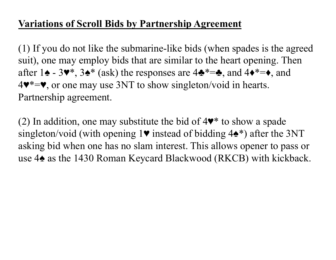## **Variations of Scroll Bids by Partnership Agreement**

(1) If you do not like the submarine-like bids (when spades is the agreed suit), one may employ bids that are similar to the heart opening. Then after 1 $\triangle$  - 3 $\blacktriangleright\$ <sup>\*</sup>, 3 $\blacktriangleright\$ <sup>\*</sup> (ask) the responses are 4 $\blacktriangleright\$ <sup>\*</sup> = $\blacktriangleright$ , and 4 $\blacktriangleright\$ = $\blacktriangleright$ , and 4♥\*=♥, or one may use 3NT to show singleton/void in hearts. Partnership agreement.

(2) In addition, one may substitute the bid of  $4\blacktriangledown^*$  to show a spade singleton/void (with opening  $1\blacktriangledown$  instead of bidding  $4\blacktriangle^*$ ) after the 3NT asking bid when one has no slam interest. This allows opener to pass or use 4♠ as the 1430 Roman Keycard Blackwood (RKCB) with kickback.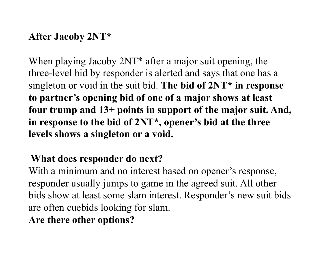#### **After Jacoby 2NT\***

When playing Jacoby  $2NT^*$  after a major suit opening, the three-level bid by responder is alerted and says that one has a singleton or void in the suit bid. **The bid of 2NT\* in response to partner's opening bid of one of a major shows at least four trump and 13+ points in support of the major suit. And, in response to the bid of 2NT\*, opener's bid at the three levels shows a singleton or a void.** 

## **What does responder do next?**

With a minimum and no interest based on opener's response, responder usually jumps to game in the agreed suit. All other bids show at least some slam interest. Responder's new suit bids are often cuebids looking for slam.

**Are there other options?**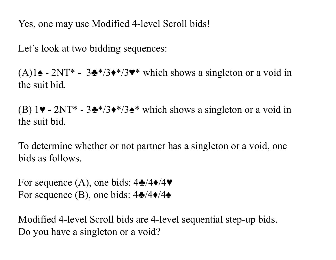Yes, one may use Modified 4-level Scroll bids!

Let's look at two bidding sequences:

(A)1 $\triangle$  - 2NT<sup>\*</sup> - 3<sup> $\triangle$ \*/3 $\triangle$ \*/3 $\triangleright$ <sup>\*</sup> which shows a singleton or a void in</sup> the suit bid.

(B) 1♥ - 2NT\* - 3♣\*/3♦\*/3♠\* which shows a singleton or a void in the suit bid.

To determine whether or not partner has a singleton or a void, one bids as follows.

For sequence (A), one bids:  $4\cdot/4\cdot/4\cdot$ For sequence (B), one bids:  $4\cdot/4\cdot/4\cdot$ 

Modified 4-level Scroll bids are 4-level sequential step-up bids. Do you have a singleton or a void?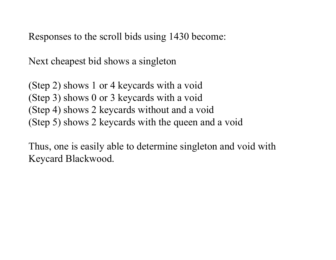Responses to the scroll bids using 1430 become:

Next cheapest bid shows a singleton

(Step 2) shows 1 or 4 keycards with a void (Step 3) shows 0 or 3 keycards with a void (Step 4) shows 2 keycards without and a void (Step 5) shows 2 keycards with the queen and a void

Thus, one is easily able to determine singleton and void with Keycard Blackwood.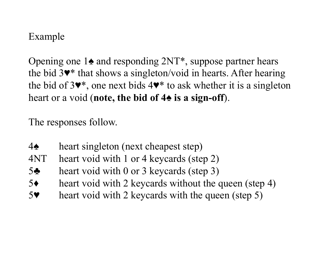## Example

Opening one 1♠ and responding 2NT\*, suppose partner hears the bid 3♥\* that shows a singleton/void in hearts. After hearing the bid of 3♥\*, one next bids 4♥\* to ask whether it is a singleton heart or a void (**note, the bid of 4♠ is a sign-off**).

The responses follow.

- 4♠ heart singleton (next cheapest step)
- 4NT heart void with 1 or 4 keycards (step 2)
- 5♣ heart void with 0 or 3 keycards (step 3)
- 5♦ heart void with 2 keycards without the queen (step 4)
- 5♥ heart void with 2 keycards with the queen (step 5)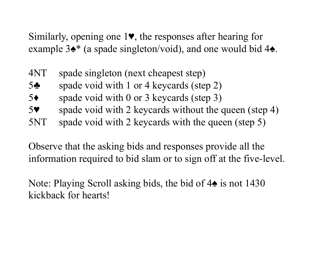Similarly, opening one 1♥, the responses after hearing for example  $3\cdot \bullet^*$  (a spade singleton/void), and one would bid 4 $\bullet$ .

- 4NT spade singleton (next cheapest step)
- 5♣ spade void with 1 or 4 keycards (step 2)
- 5♦ spade void with 0 or 3 keycards (step 3)
- 5<sup>♥</sup> spade void with 2 keycards without the queen (step 4)
- 5NT spade void with 2 keycards with the queen (step 5)

Observe that the asking bids and responses provide all the information required to bid slam or to sign off at the five-level.

Note: Playing Scroll asking bids, the bid of 4♠ is not 1430 kickback for hearts!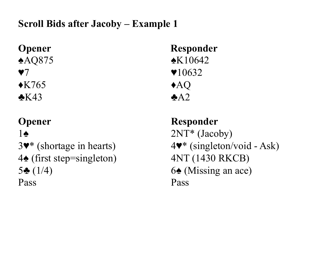## **Scroll Bids after Jacoby – Example 1**

 $\triangle$ K765  $\triangle$ AQ

4**♠** (first step=singleton) 4NT (1430 RKCB) 5 $\triangle$  (1/4) 6 $\triangle$  (Missing an ace) Pass Pass

**Opener Responder ♠**AQ875 ♠K10642  $\blacktriangledown$   $\blacktriangledown$   $\blacktriangledown$   $\blacktriangle$   $\blacktriangle$   $\blacktriangledown$   $\blacktriangle$   $\blacktriangle$   $\blacktriangle$   $\blacktriangle$   $\blacktriangle$   $\blacktriangle$   $\blacktriangle$   $\blacktriangle$   $\blacktriangle$   $\blacktriangle$   $\blacktriangle$   $\blacktriangle$   $\blacktriangle$   $\blacktriangle$   $\blacktriangle$   $\blacktriangle$   $\blacktriangle$   $\blacktriangle$   $\blacktriangle$   $\blacktriangle$   $\blacktriangle$   $\blacktriangle$   $\blacktriangle$   $\blacktriangle$   $\blacktriangle$   $\blacktriangle$   $\blacktriangle$   $\blacktriangle$   $\blacktriangle$   $\black$  $\triangle$ K43  $\triangle$ A2

**Opener** Responder  $1\spadesuit$  2NT<sup>\*</sup> (Jacoby) 3♥\* (shortage in hearts) 4♥\* (singleton/void - Ask)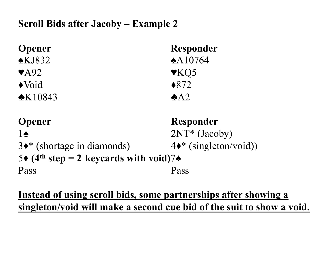## **Scroll Bids after Jacoby – Example 2**

| <b>Opener</b>                                                  | <b>Responder</b>               |
|----------------------------------------------------------------|--------------------------------|
| $\triangle$ KJ832                                              | $*A10764$                      |
| $\blacktriangledown$ A92                                       | $\blacktriangledown$ KQ5       |
| $\blacklozenge$ Void                                           | $*872$                         |
| $\cdot$ K10843                                                 | A2                             |
| <b>Opener</b>                                                  | <b>Responder</b>               |
| $1\spadesuit$                                                  | $2NT*$ (Jacoby)                |
| $3\bullet^*$ (shortage in diamonds)                            | $4\bullet^*$ (singleton/void)) |
| 5 $\div$ (4 <sup>th</sup> step = 2 keycards with void)7 $\div$ |                                |
| Pass                                                           | Pass                           |

## **Instead of using scroll bids, some partnerships after showing a singleton/void will make a second cue bid of the suit to show a void.**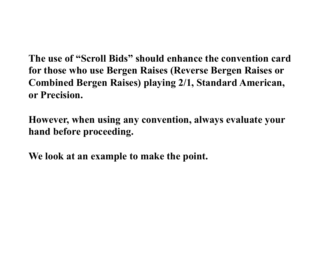**The use of "Scroll Bids" should enhance the convention card for those who use Bergen Raises (Reverse Bergen Raises or Combined Bergen Raises) playing 2/1, Standard American, or Precision.** 

**However, when using any convention, always evaluate your hand before proceeding.** 

**We look at an example to make the point.**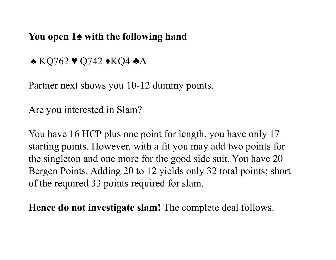#### **You open 1♠ with the following hand**

♠ KQ762 ♥ Q742 ♦KQ4 ♣A

Partner next shows you 10-12 dummy points.

Are you interested in Slam?

You have 16 HCP plus one point for length, you have only 17 starting points. However, with a fit you may add two points for the singleton and one more for the good side suit. You have 20 Bergen Points. Adding 20 to 12 yields only 32 total points; short of the required 33 points required for slam.

**Hence do not investigate slam!** The complete deal follows.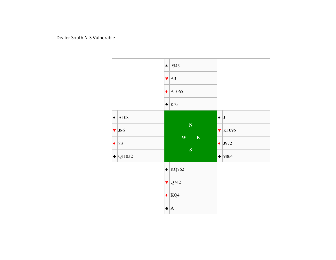Dealer South N-S Vulnerable

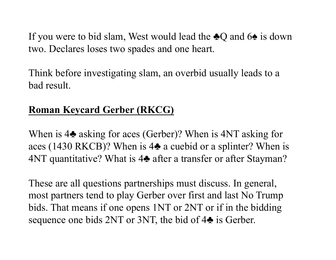If you were to bid slam, West would lead the  $\triangle Q$  and  $6\triangle A$  is down two. Declares loses two spades and one heart.

Think before investigating slam, an overbid usually leads to a bad result.

# **Roman Keycard Gerber (RKCG)**

When is 4♣ asking for aces (Gerber)? When is 4NT asking for aces (1430 RKCB)? When is 4♣ a cuebid or a splinter? When is 4NT quantitative? What is 4♣ after a transfer or after Stayman?

These are all questions partnerships must discuss. In general, most partners tend to play Gerber over first and last No Trump bids. That means if one opens 1NT or 2NT or if in the bidding sequence one bids 2NT or 3NT, the bid of 4 $\bullet$  is Gerber.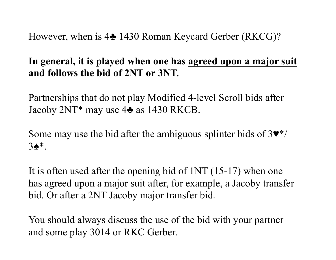However, when is 4♣ 1430 Roman Keycard Gerber (RKCG)?

### **In general, it is played when one has agreed upon a major suit and follows the bid of 2NT or 3NT.**

Partnerships that do not play Modified 4-level Scroll bids after Jacoby 2NT\* may use 4♣ as 1430 RKCB.

Some may use the bid after the ambiguous splinter bids of  $3\Psi^*/$ 3♠\*.

It is often used after the opening bid of 1NT (15-17) when one has agreed upon a major suit after, for example, a Jacoby transfer bid. Or after a 2NT Jacoby major transfer bid.

You should always discuss the use of the bid with your partner and some play 3014 or RKC Gerber.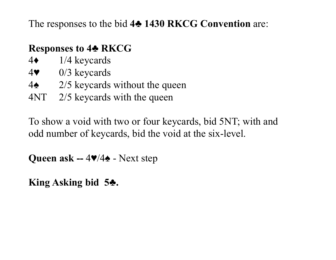The responses to the bid **4♣ 1430 RKCG Convention** are:

### **Responses to 4♣ RKCG**

- 4♦ 1/4 keycards
- 4♥ 0/3 keycards
- 4♠ 2/5 keycards without the queen
- 4NT 2/5 keycards with the queen

To show a void with two or four keycards, bid 5NT; with and odd number of keycards, bid the void at the six-level.

**Queen ask --** 4♥/4♠ - Next step

**King Asking bid 5♣.**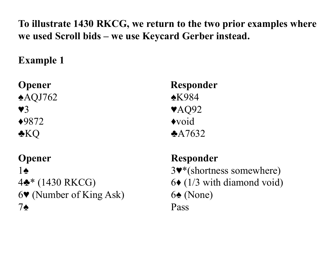### **To illustrate 1430 RKCG, we return to the two prior examples where we used Scroll bids – we use Keycard Gerber instead.**

## **Example 1**

| <b>Opener</b>      |  |
|--------------------|--|
| $\triangle$ AQJ762 |  |
| $\mathbf{V}3$      |  |
| $*9872$            |  |
| <b>*KQ</b>         |  |

**Opener Responder** 6 $\blacktriangledown$  (Number of King Ask) 6 $\blacktriangle$  (None) 7**♠** Pass

**Opener Responder ♠**AQJ762 ♠K984 **VAQ92**  $\blacklozenge$ void  $*$ A7632

1 3♥\*(shortness somewhere) 4♣\* (1430 RKCG) 6♦ (1/3 with diamond void)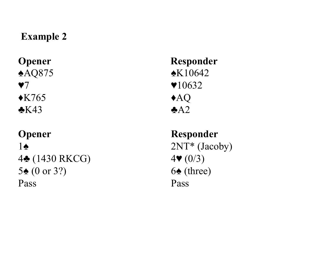#### **Example 2**

 $\triangle$ K765  $\triangle$ AQ  $\triangle$ K43  $\triangle$ A2

### **Opener** Responder  $1♦$  2NT<sup>\*</sup> (Jacoby) 4♣ (1430 RKCG) 4♥ (0/3) 5 $\triangle$  (0 or 3?) 6 $\triangle$  (three) Pass Pass

**Opener Responder ♠**AQ875 ♠K10642  $\sqrt{7}$   $\sqrt{10632}$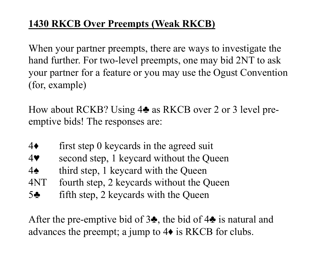## **1430 RKCB Over Preempts (Weak RKCB)**

When your partner preempts, there are ways to investigate the hand further. For two-level preempts, one may bid 2NT to ask your partner for a feature or you may use the Ogust Convention (for, example)

How about RCKB? Using 4♣ as RKCB over 2 or 3 level preemptive bids! The responses are:

- 4♦ first step 0 keycards in the agreed suit
- 4♥ second step, 1 keycard without the Queen
- 4♠ third step, 1 keycard with the Queen
- 4NT fourth step, 2 keycards without the Queen
- 5♣ fifth step, 2 keycards with the Queen

After the pre-emptive bid of 3♣, the bid of 4♣ is natural and advances the preempt; a jump to 4♦ is RKCB for clubs.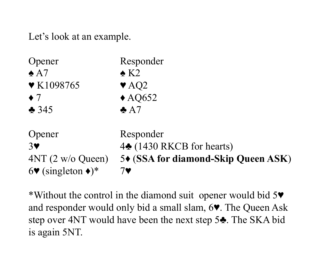Let's look at an example.

| Opener                                              | Responder                                                  |
|-----------------------------------------------------|------------------------------------------------------------|
| $\triangle$ A7                                      | $\triangle$ K2                                             |
| $\blacktriangledown$ K1098765                       | $\blacktriangledown$ AQ2                                   |
| $\bullet$ 7                                         | $\triangle$ AQ652                                          |
| $\triangle$ 345                                     | $\triangle$ A7                                             |
| Opener                                              | Responder                                                  |
| 3 <sup>o</sup>                                      | 4 <sup><math>\triangle</math></sup> (1430 RKCB for hearts) |
| $4NT (2 w/o$ Queen)                                 | 5◆ (SSA for diamond-Skip Queen ASK)                        |
| $6\blacktriangledown$ (singleton $\blacklozenge$ )* | 7♥                                                         |

\*Without the control in the diamond suit opener would bid 5♥ and responder would only bid a small slam, 6♥. The Queen Ask step over 4NT would have been the next step 5♣. The SKA bid is again 5NT.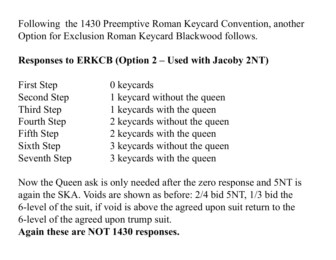Following the 1430 Preemptive Roman Keycard Convention, another Option for Exclusion Roman Keycard Blackwood follows.

### **Responses to ERKCB (Option 2 – Used with Jacoby 2NT)**

| First Step          | 0 keycards                   |
|---------------------|------------------------------|
| <b>Second Step</b>  | 1 keycard without the queen  |
| Third Step          | 1 keycards with the queen    |
| <b>Fourth Step</b>  | 2 keycards without the queen |
| Fifth Step          | 2 keycards with the queen    |
| <b>Sixth Step</b>   | 3 keycards without the queen |
| <b>Seventh Step</b> | 3 keycards with the queen    |
|                     |                              |

Now the Queen ask is only needed after the zero response and 5NT is again the SKA. Voids are shown as before: 2/4 bid 5NT, 1/3 bid the 6-level of the suit, if void is above the agreed upon suit return to the 6-level of the agreed upon trump suit. **Again these are NOT 1430 responses.**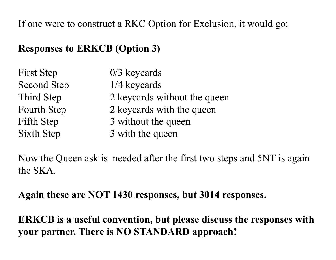If one were to construct a RKC Option for Exclusion, it would go:

#### **Responses to ERKCB (Option 3)**

| First Step         | $0/3$ keycards               |
|--------------------|------------------------------|
| <b>Second Step</b> | 1/4 keycards                 |
| Third Step         | 2 keycards without the queen |
| <b>Fourth Step</b> | 2 keycards with the queen    |
| <b>Fifth Step</b>  | 3 without the queen          |
| Sixth Step         | 3 with the queen             |

Now the Queen ask is needed after the first two steps and 5NT is again the SKA.

**Again these are NOT 1430 responses, but 3014 responses.** 

**ERKCB is a useful convention, but please discuss the responses with your partner. There is NO STANDARD approach!**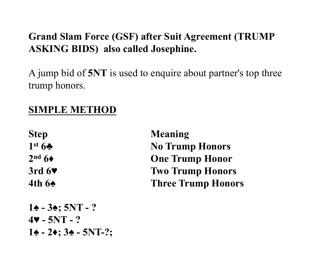### **Grand Slam Force (GSF) after Suit Agreement (TRUMP ASKING BIDS) also called Josephine.**

A jump bid of **5NT** is used to enquire about partner's top three trump honors.

# **SIMPLE METHOD**

**Step Meaning 1st 6♣** No Trump Honors **2nd 6♦ One Trump Honor 3rd 6♥ Two Trump Honors 4th 6♠ Three Trump Honors**

**1♠ - 3♠; 5NT - ? 4♥ - 5NT - ? 1♠ - 2♦; 3♠ - 5NT-?;**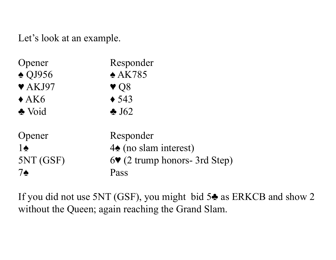Let's look at an example.

| Dpener                     | Responder                                         |
|----------------------------|---------------------------------------------------|
| $\triangle$ QJ956          | $*AK785$                                          |
| $\blacktriangledown$ AKJ97 | $\blacktriangledown$ Q8                           |
| $\triangle$ AK6            | $\triangle$ 543                                   |
| Noid                       | $\triangle$ J62                                   |
| Opener                     | Responder                                         |
| $1\spadesuit$              | $4\spadesuit$ (no slam interest)                  |
| 5NT(GSF)                   | $6\blacktriangleright$ (2 trump honors- 3rd Step) |
| 7♠                         | Pass                                              |

If you did not use 5NT (GSF), you might bid 5♣ as ERKCB and show 2 without the Queen; again reaching the Grand Slam.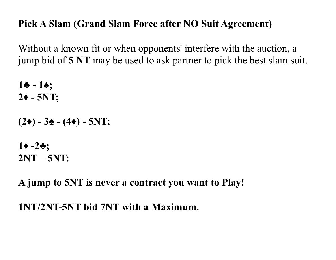#### **Pick A Slam (Grand Slam Force after NO Suit Agreement)**

Without a known fit or when opponents' interfere with the auction, a jump bid of **5 NT** may be used to ask partner to pick the best slam suit.

**1♣ - 1♠; 2♦ - 5NT;** 

 $(2\bullet)$  - 3 $\bullet$  -  $(4\bullet)$  - 5NT;

 $1 \cdot -2 \cdot \cdot$ **2NT – 5NT:** 

**A jump to 5NT is never a contract you want to Play!** 

**1NT/2NT-5NT bid 7NT with a Maximum.**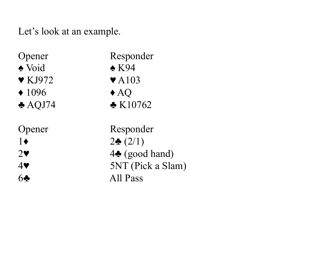Let's look at an example.

| Opener                     | Responder                 |
|----------------------------|---------------------------|
| $\triangle$ Void           | $\triangle$ K94           |
| $\blacktriangledown$ KJ972 | $\blacktriangledown$ A103 |
| $\triangle$ 1096           | $\triangle$ AQ            |
| $\triangle$ AQJ74          | $\triangle$ K10762        |
| Opener                     | Responder                 |
| $1\bullet$                 | $2\bullet(2/1)$           |
| $2\blacktriangledown$      | $4\spadesuit$ (good hand) |
| $4\blacktriangledown$      | 5NT (Pick a Slam)         |
| 60                         | All Pass                  |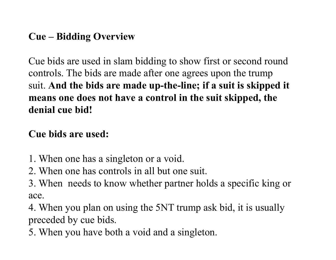#### **Cue – Bidding Overview**

Cue bids are used in slam bidding to show first or second round controls. The bids are made after one agrees upon the trump suit. **And the bids are made up-the-line; if a suit is skipped it means one does not have a control in the suit skipped, the denial cue bid!** 

#### **Cue bids are used:**

- 1. When one has a singleton or a void.
- 2. When one has controls in all but one suit.
- 3. When needs to know whether partner holds a specific king or ace.

4. When you plan on using the 5NT trump ask bid, it is usually preceded by cue bids.

5. When you have both a void and a singleton.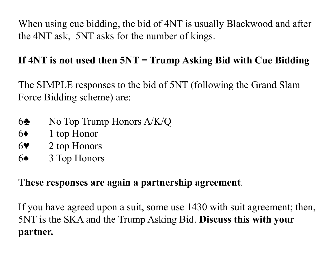When using cue bidding, the bid of 4NT is usually Blackwood and after the 4NT ask, 5NT asks for the number of kings.

### **If 4NT is not used then 5NT = Trump Asking Bid with Cue Bidding**

The SIMPLE responses to the bid of 5NT (following the Grand Slam Force Bidding scheme) are:

- 6♣ No Top Trump Honors A/K/Q
- 6♦ 1 top Honor
- 6♥ 2 top Honors
- 6♠ 3 Top Honors

### **These responses are again a partnership agreement**.

If you have agreed upon a suit, some use 1430 with suit agreement; then, 5NT is the SKA and the Trump Asking Bid. **Discuss this with your partner.**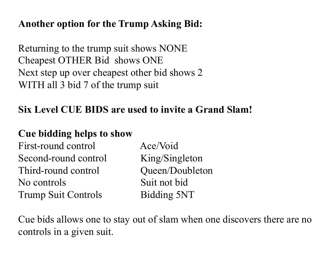#### **Another option for the Trump Asking Bid:**

Returning to the trump suit shows NONE Cheapest OTHER Bid shows ONE Next step up over cheapest other bid shows 2 WITH all 3 bid 7 of the trump suit

#### **Six Level CUE BIDS are used to invite a Grand Slam!**

#### **Cue bidding helps to show**

First-round control Ace/Void Second-round control King/Singleton Third-round control Queen/Doubleton No controls Suit not bid Trump Suit Controls Bidding 5NT

Cue bids allows one to stay out of slam when one discovers there are no controls in a given suit.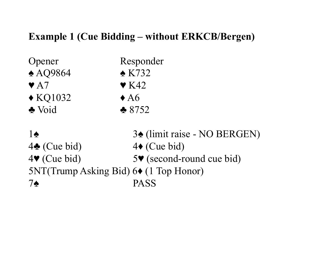#### **Example 1 (Cue Bidding – without ERKCB/Bergen)**

| Opener                  | Responder                |
|-------------------------|--------------------------|
| $\triangle$ AQ9864      | $\triangle$ K732         |
| $\blacktriangledown$ A7 | $\blacktriangledown$ K42 |
| $\triangle$ KQ1032      | $\triangle$ A6           |
| Noid                    | $*8752$                  |
|                         |                          |

1♠ 3♠ (limit raise - NO BERGEN) 4♣ (Cue bid) 4♦ (Cue bid) 4♥ (Cue bid) 5♥ (second-round cue bid) 5NT(Trump Asking Bid) 6♦ (1 Top Honor) 7♠ PASS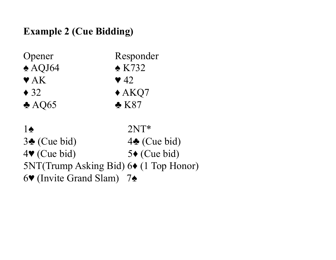## **Example 2 (Cue Bidding)**

| Opener                                          | Responder               |
|-------------------------------------------------|-------------------------|
| $\triangle$ AQJ64                               | $\triangle$ K732        |
| $\blacktriangledown$ AK                         | $\blacktriangledown$ 42 |
| $\triangle$ 32                                  | $\triangle$ AKQ7        |
| $\triangle$ AQ65                                | $\triangle$ K87         |
|                                                 |                         |
| $1\spadesuit$                                   | $2NT*$                  |
| $3\bullet$ (Cue bid)                            | $4\spadesuit$ (Cue bid) |
| $4\blacktriangledown$ (Cue bid)                 | $5\bullet$ (Cue bid)    |
| $5NT(Trump Asking Bid) 6 \bullet (1 Top Honor)$ |                         |
| $6\blacktriangleright$ (Invite Grand Slam)      | $7\spadesuit$           |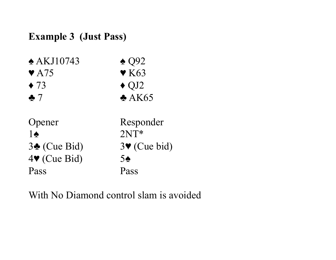#### **Example 3 (Just Pass)**

| $\triangle$ AKJ10743     | $\triangle$ Q92                 |
|--------------------------|---------------------------------|
| $\blacktriangledown$ A75 | $\blacktriangledown$ K63        |
| $\blacklozenge$ 73       | $\triangle$ QJ2                 |
| $\clubsuit$ $7$          | A K65                           |
| Opener                   | Responder                       |
| $1\spadesuit$            | $2NT*$                          |
| $3\bullet$ (Cue Bid)     | $3\blacktriangledown$ (Cue bid) |
| $4$ (Cue Bid)            | $5\spadesuit$                   |
| Pass                     | Pass                            |

With No Diamond control slam is avoided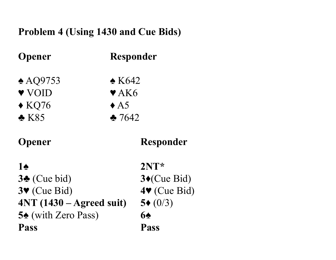### **Problem 4 (Using 1430 and Cue Bids)**

| <b>Opener</b>                   | <b>Responder</b>                |
|---------------------------------|---------------------------------|
| $\triangle$ AQ9753              | $\triangle$ K642                |
| ♥ VOID                          | $\blacktriangledown$ AK6        |
| $\triangle$ KQ76                | $\triangle$ A5                  |
| $\triangle$ K85                 | 2.7642                          |
| <b>Opener</b>                   | <b>Responder</b>                |
| 10                              | $2NT*$                          |
| $3\bullet$ (Cue bid)            | $3 \bullet$ (Cue Bid)           |
| $3\blacktriangledown$ (Cue Bid) | $4\blacktriangledown$ (Cue Bid) |
| $4NT (1430 - Agreed suit)$      | $5*(0/3)$                       |
| <b>54</b> (with Zero Pass)      | 64                              |
| <b>Pass</b>                     | Pass                            |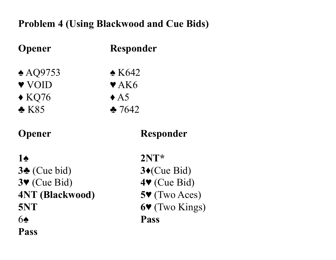### **Problem 4 (Using Blackwood and Cue Bids)**

| <b>Opener</b>                   | <b>Responder</b>                 |
|---------------------------------|----------------------------------|
| $\triangle$ AQ9753              | $\triangle$ K642                 |
| V VOID                          | $\blacktriangledown$ AK6         |
| $\triangle$ KQ76                | $\triangle$ A5                   |
| $\triangle$ K85                 | 257642                           |
| <b>Opener</b>                   | Responder                        |
| 10                              | $2NT*$                           |
| $3\bullet$ (Cue bid)            | $3*(Cue Bid)$                    |
| $3\blacktriangledown$ (Cue Bid) | $4\blacktriangledown$ (Cue Bid)  |
| <b>4NT (Blackwood)</b>          | $5\blacktriangledown$ (Two Aces) |
| 5NT                             | 6V (Two Kings                    |
| 60                              | <b>Pass</b>                      |
| <b>Pass</b>                     |                                  |

**3♣** (Cue bid) **3♦**(Cue Bid) **3♥** (Cue Bid) **4♥** (Cue Bid) **(Two Aces)** (Two Kings)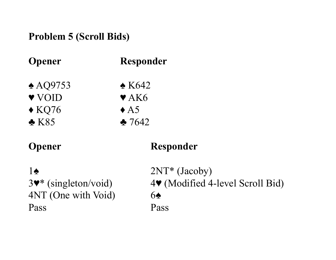#### **Problem 5 (Scroll Bids)**

| <b>Opener</b>      | <b>Responder</b>         |
|--------------------|--------------------------|
| $\triangle$ AQ9753 | $\triangle$ K642         |
| ♥ VOID             | $\blacktriangledown$ AK6 |
| $\triangle$ KQ76   | $\triangle$ A5           |
| $\triangle$ K85    | 2642                     |

#### **Opener Responder**

# $1♦$  2NT<sup>\*</sup> (Jacoby) 4NT (One with Void) 6♠ Pass Pass

3♥\* (singleton/void) 4♥ (Modified 4-level Scroll Bid)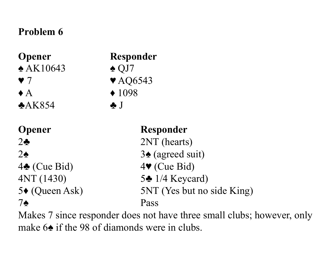### **Problem 6**

**Opener Responder**  $\triangle$  AK10643  $\triangle$  QJ7 ♥ 7 ♥ AQ6543  $\triangle$   $\triangle$   $\triangle$  1098 ♣AK854 ♣ J **Opener** Responder

4♣ (Cue Bid) 4♥ (Cue Bid)

2♣ 2NT (hearts)  $2\spadesuit$  3 $\spadesuit$  (agreed suit)

# 4NT (1430) 5♣ 1/4 Keycard)

5♦ (Queen Ask) 5NT (Yes but no side King)

### 7♠ Pass

Makes 7 since responder does not have three small clubs; however, only make 6♠ if the 98 of diamonds were in clubs.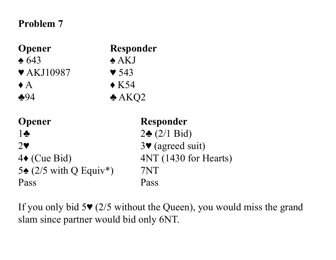#### **Problem 7**

| <b>Opener</b><br>$\triangle 643$<br>$\blacktriangledown$ AKJ10987<br>$\bullet$ A<br>$-94$                                   | <b>Responder</b><br>$\triangle$ AKJ<br>$\blacktriangledown$ 543<br>$\triangle$ K54                                                                  |
|-----------------------------------------------------------------------------------------------------------------------------|-----------------------------------------------------------------------------------------------------------------------------------------------------|
| <b>Opener</b><br>$1\clubsuit$<br>$2\blacktriangledown$<br>$4\bullet$ (Cue Bid)<br>5 $\triangle$ (2/5 with Q Equiv*)<br>Pass | $\triangle$ AKQ2<br><b>Responder</b><br>$2\bullet (2/1 \text{ Bid})$<br>$3\blacktriangledown$ (agreed suit)<br>4NT (1430 for Hearts)<br>7NT<br>Pass |

If you only bid 5♥ (2/5 without the Queen), you would miss the grand slam since partner would bid only 6NT.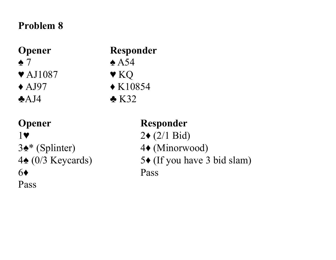#### **Problem 8**

 $\blacktriangledown$  AJ1087  $\blacktriangledown$  KQ

# **Opener Responder**  $\triangle$  7  $\triangle$  A54

- $\triangle$  AJ97  $\triangle$  K10854
- $\triangle$ AJ4  $\triangle$  K32

6♦ Pass

Pass

# **Opener** Responder

- 1 $\blacktriangledown$  2 $\blacktriangledown$  (2/1 Bid)
- 3♠\* (Splinter) 4♦ (Minorwood)
- 4♠ (0/3 Keycards) 5♦ (If you have 3 bid slam)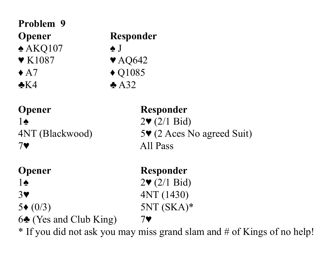# **Problem 9**   $\triangle$  AKQ107  $\triangle$  J  $\blacktriangledown$  K1087  $\blacktriangledown$  AQ642  $\triangle$  A7  $\triangle$  Q1085  $\triangle$ K4  $\triangle$  A32

# **Opener** Responder 1**◆**  $2\Psi$  (2/1 Bid) 7♥ All Pass

- 
- 6 $\triangle$  (Yes and Club King) 7 $\triangledown$

**Opener Responder**

- 
- 

4NT (Blackwood) 5♥ (2 Aces No agreed Suit)

**Opener** Responder  $1\spadesuit$  2♥ (2/1 Bid) 3♥ 4NT (1430)  $5*(0/3)$  5NT (SKA)\*

\* If you did not ask you may miss grand slam and # of Kings of no help!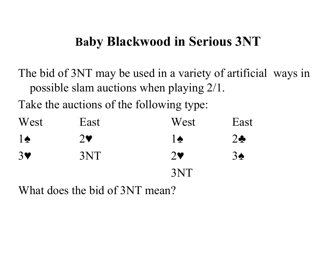# **Baby Blackwood in Serious 3NT**

The bid of 3NT may be used in a variety of artificial ways in possible slam auctions when playing 2/1.

Take the auctions of the following type:

| West           | East                  | West                  | East          |
|----------------|-----------------------|-----------------------|---------------|
| $1\spadesuit$  | $2\blacktriangledown$ | 1♠                    | $2\clubsuit$  |
| 3 <sub>Y</sub> | 3NT                   | $2\blacktriangledown$ | $3\spadesuit$ |
|                |                       | 3NT                   |               |

What does the bid of 3NT mean?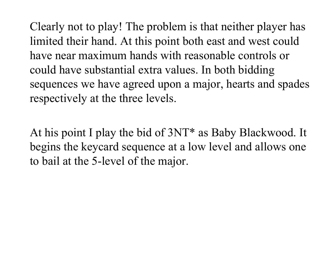Clearly not to play! The problem is that neither player has limited their hand. At this point both east and west could have near maximum hands with reasonable controls or could have substantial extra values. In both bidding sequences we have agreed upon a major, hearts and spades respectively at the three levels.

At his point I play the bid of 3NT\* as Baby Blackwood. It begins the keycard sequence at a low level and allows one to bail at the 5-level of the major.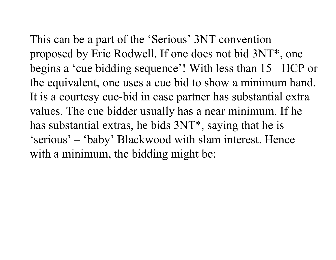This can be a part of the 'Serious' 3NT convention proposed by Eric Rodwell. If one does not bid 3NT\*, one

begins a 'cue bidding sequence'! With less than 15+ HCP or the equivalent, one uses a cue bid to show a minimum hand. It is a courtesy cue-bid in case partner has substantial extra values. The cue bidder usually has a near minimum. If he has substantial extras, he bids 3NT\*, saying that he is 'serious' – 'baby' Blackwood with slam interest. Hence with a minimum, the bidding might be: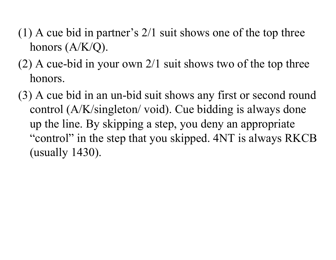- (1) A cue bid in partner's 2/1 suit shows one of the top three honors (A/K/Q).
- (2) A cue-bid in your own 2/1 suit shows two of the top three honors.
- (3) A cue bid in an un-bid suit shows any first or second round control (A/K/singleton/ void). Cue bidding is always done up the line. By skipping a step, you deny an appropriate "control" in the step that you skipped. 4NT is always RKCB (usually 1430).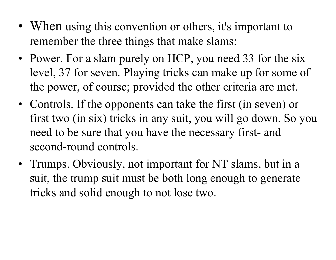- When using this convention or others, it's important to remember the three things that make slams:
- Power. For a slam purely on HCP, you need 33 for the six level, 37 for seven. Playing tricks can make up for some of the power, of course; provided the other criteria are met.
- Controls. If the opponents can take the first (in seven) or first two (in six) tricks in any suit, you will go down. So you need to be sure that you have the necessary first- and second-round controls.
- Trumps. Obviously, not important for NT slams, but in a suit, the trump suit must be both long enough to generate tricks and solid enough to not lose two.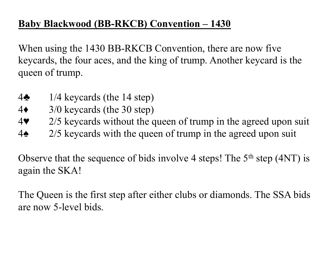# **Baby Blackwood (BB-RKCB) Convention – 1430**

When using the 1430 BB-RKCB Convention, there are now five keycards, the four aces, and the king of trump. Another keycard is the queen of trump.

- 4♣ 1/4 keycards (the 14 step)
- 4♦ 3/0 keycards (the 30 step)
- 4♥ 2/5 keycards without the queen of trump in the agreed upon suit
- 4♠ 2/5 keycards with the queen of trump in the agreed upon suit

Observe that the sequence of bids involve 4 steps! The 5<sup>th</sup> step (4NT) is again the SKA!

The Queen is the first step after either clubs or diamonds. The SSA bids are now 5-level bids.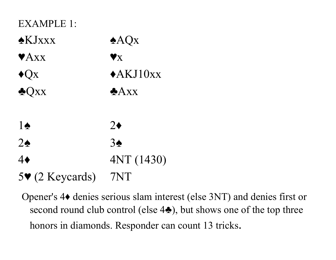| EXAMPLE 1:                         |                        |
|------------------------------------|------------------------|
| $\triangle$ KJ $\angle$ XXX        | AQX                    |
| $\blacktriangledown$ Axx           | $\blacktriangledown_X$ |
| $\bigstar Q_X$                     | $\triangle$ AKJ10xx    |
| $\triangle$ Qxx                    | Axx                    |
|                                    |                        |
| $1\spadesuit$                      | $2\bullet$             |
| $2\spadesuit$                      | $3\spadesuit$          |
| 4♦                                 | 4NT (1430)             |
| $5\blacktriangledown$ (2 Keycards) | 7NT                    |

Opener's 4♦ denies serious slam interest (else 3NT) and denies first or second round club control (else 4<del>♦</del>), but shows one of the top three honors in diamonds. Responder can count 13 tricks.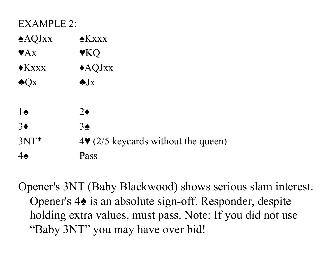| $\triangle$ AQJxx | $\triangle$ K x x x |
|-------------------|---------------------|
| $\mathbf{Y} A x$  | VKQ                 |
| $\bigstar$ Kxxx   | $\triangle$ AQJxx   |
| $\triangle$ Qx    | $\bigstar J_X$      |
|                   |                     |

| $1\spadesuit$  | 2♦                                                      |
|----------------|---------------------------------------------------------|
| $3\bullet$     | $3\spadesuit$                                           |
| $3NT*$         | $4\blacktriangleright$ (2/5 keycards without the queen) |
| 4 <sub>2</sub> | Pass                                                    |

Opener's 3NT (Baby Blackwood) shows serious slam interest. Opener's 4♠ is an absolute sign-off. Responder, despite holding extra values, must pass. Note: If you did not use "Baby 3NT" you may have over bid!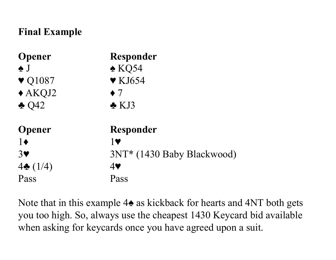### **Final Example**

| <b>Opener</b>              | <b>Responder</b>           |
|----------------------------|----------------------------|
| $\bullet$ J                | $\triangle$ KQ54           |
| $\blacktriangledown$ Q1087 | $\blacktriangledown$ KJ654 |
| $\triangle$ AKQJ2          | $\bullet$ 7                |
| $\triangle$ Q42            | $\triangle$ KJ3            |
| <b>Opener</b>              | <b>Responder</b>           |
| $1\bullet$                 | <b>1V</b>                  |
| 3                          | 3NT* (1430 Baby Blackwood) |
| $4\bullet(1/4)$            | $4$ V                      |
| Pass                       | Pass                       |

Note that in this example 4♠ as kickback for hearts and 4NT both gets you too high. So, always use the cheapest 1430 Keycard bid available when asking for keycards once you have agreed upon a suit.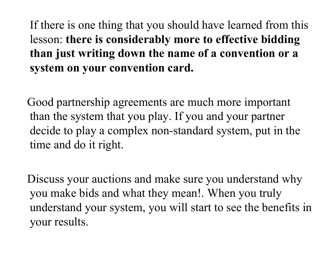If there is one thing that you should have learned from this lesson: **there is considerably more to effective bidding than just writing down the name of a convention or a system on your convention card.** 

 Good partnership agreements are much more important than the system that you play. If you and your partner decide to play a complex non-standard system, put in the time and do it right.

 Discuss your auctions and make sure you understand why you make bids and what they mean!. When you truly understand your system, you will start to see the benefits in your results.